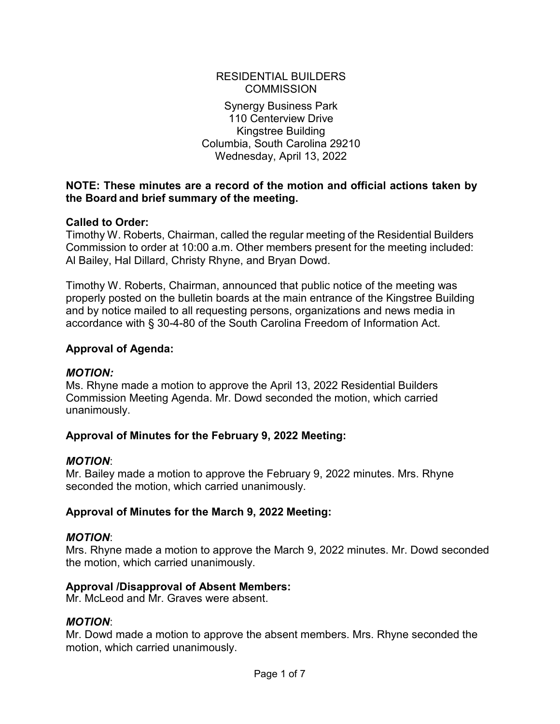#### RESIDENTIAL BUILDERS **COMMISSION**

Synergy Business Park 110 Centerview Drive Kingstree Building Columbia, South Carolina 29210 Wednesday, April 13, 2022

### **NOTE: These minutes are a record of the motion and official actions taken by the Board and brief summary of the meeting.**

### **Called to Order:**

Timothy W. Roberts, Chairman, called the regular meeting of the Residential Builders Commission to order at 10:00 a.m. Other members present for the meeting included: Al Bailey, Hal Dillard, Christy Rhyne, and Bryan Dowd.

Timothy W. Roberts, Chairman, announced that public notice of the meeting was properly posted on the bulletin boards at the main entrance of the Kingstree Building and by notice mailed to all requesting persons, organizations and news media in accordance with § 30-4-80 of the South Carolina Freedom of Information Act.

### **Approval of Agenda:**

### *MOTION:*

Ms. Rhyne made a motion to approve the April 13, 2022 Residential Builders Commission Meeting Agenda. Mr. Dowd seconded the motion, which carried unanimously.

### **Approval of Minutes for the February 9, 2022 Meeting:**

### *MOTION*:

Mr. Bailey made a motion to approve the February 9, 2022 minutes. Mrs. Rhyne seconded the motion, which carried unanimously.

### **Approval of Minutes for the March 9, 2022 Meeting:**

### *MOTION*:

Mrs. Rhyne made a motion to approve the March 9, 2022 minutes. Mr. Dowd seconded the motion, which carried unanimously.

### **Approval /Disapproval of Absent Members:**

Mr. McLeod and Mr. Graves were absent.

### *MOTION*:

Mr. Dowd made a motion to approve the absent members. Mrs. Rhyne seconded the motion, which carried unanimously.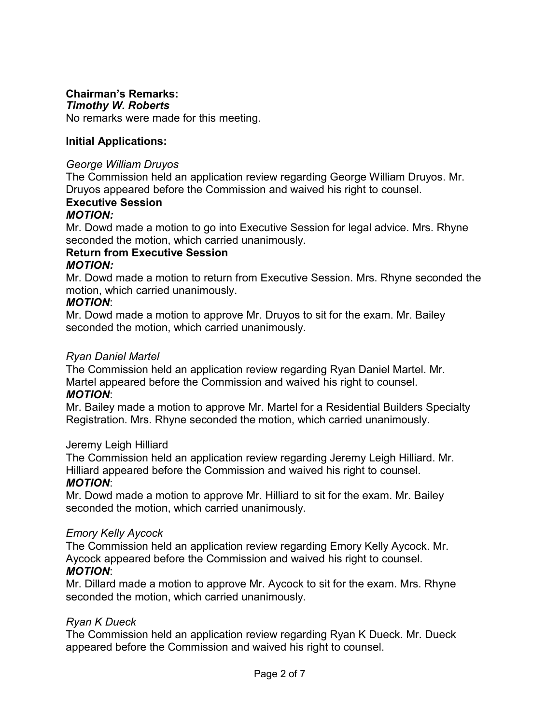### **Chairman's Remarks:**

### *Timothy W. Roberts*

No remarks were made for this meeting.

### **Initial Applications:**

### *George William Druyos*

The Commission held an application review regarding George William Druyos. Mr. Druyos appeared before the Commission and waived his right to counsel.

# **Executive Session**

### *MOTION:*

Mr. Dowd made a motion to go into Executive Session for legal advice. Mrs. Rhyne seconded the motion, which carried unanimously.

### **Return from Executive Session**

### *MOTION:*

Mr. Dowd made a motion to return from Executive Session. Mrs. Rhyne seconded the motion, which carried unanimously.

### *MOTION*:

Mr. Dowd made a motion to approve Mr. Druyos to sit for the exam. Mr. Bailey seconded the motion, which carried unanimously.

### *Ryan Daniel Martel*

The Commission held an application review regarding Ryan Daniel Martel. Mr. Martel appeared before the Commission and waived his right to counsel. *MOTION*:

Mr. Bailey made a motion to approve Mr. Martel for a Residential Builders Specialty Registration. Mrs. Rhyne seconded the motion, which carried unanimously.

### Jeremy Leigh Hilliard

The Commission held an application review regarding Jeremy Leigh Hilliard. Mr. Hilliard appeared before the Commission and waived his right to counsel.

### *MOTION*:

Mr. Dowd made a motion to approve Mr. Hilliard to sit for the exam. Mr. Bailey seconded the motion, which carried unanimously.

### *Emory Kelly Aycock*

The Commission held an application review regarding Emory Kelly Aycock. Mr. Aycock appeared before the Commission and waived his right to counsel.

### *MOTION*:

Mr. Dillard made a motion to approve Mr. Aycock to sit for the exam. Mrs. Rhyne seconded the motion, which carried unanimously.

### *Ryan K Dueck*

The Commission held an application review regarding Ryan K Dueck. Mr. Dueck appeared before the Commission and waived his right to counsel.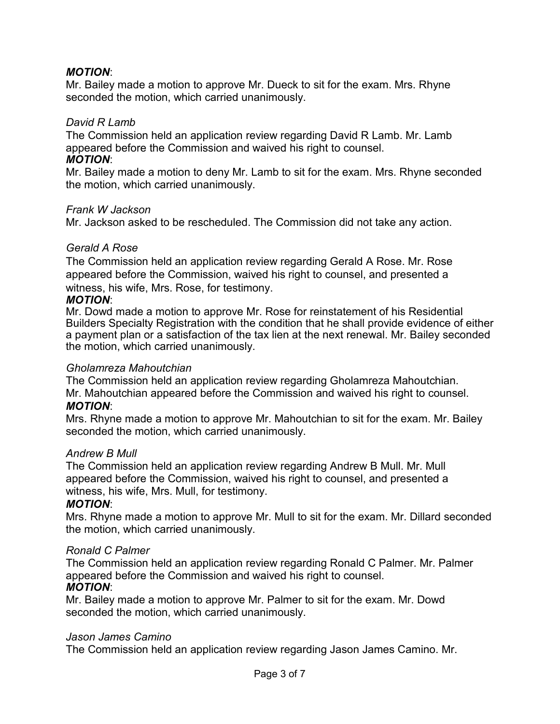### *MOTION*:

Mr. Bailey made a motion to approve Mr. Dueck to sit for the exam. Mrs. Rhyne seconded the motion, which carried unanimously.

### *David R Lamb*

The Commission held an application review regarding David R Lamb. Mr. Lamb appeared before the Commission and waived his right to counsel. *MOTION*:

Mr. Bailey made a motion to deny Mr. Lamb to sit for the exam. Mrs. Rhyne seconded the motion, which carried unanimously.

#### *Frank W Jackson*

Mr. Jackson asked to be rescheduled. The Commission did not take any action.

### *Gerald A Rose*

The Commission held an application review regarding Gerald A Rose. Mr. Rose appeared before the Commission, waived his right to counsel, and presented a witness, his wife, Mrs. Rose, for testimony.

### *MOTION*:

Mr. Dowd made a motion to approve Mr. Rose for reinstatement of his Residential Builders Specialty Registration with the condition that he shall provide evidence of either a payment plan or a satisfaction of the tax lien at the next renewal. Mr. Bailey seconded the motion, which carried unanimously.

#### *Gholamreza Mahoutchian*

The Commission held an application review regarding Gholamreza Mahoutchian. Mr. Mahoutchian appeared before the Commission and waived his right to counsel. *MOTION*:

Mrs. Rhyne made a motion to approve Mr. Mahoutchian to sit for the exam. Mr. Bailey seconded the motion, which carried unanimously.

### *Andrew B Mull*

The Commission held an application review regarding Andrew B Mull. Mr. Mull appeared before the Commission, waived his right to counsel, and presented a witness, his wife, Mrs. Mull, for testimony.

### *MOTION*:

Mrs. Rhyne made a motion to approve Mr. Mull to sit for the exam. Mr. Dillard seconded the motion, which carried unanimously.

### *Ronald C Palmer*

The Commission held an application review regarding Ronald C Palmer. Mr. Palmer appeared before the Commission and waived his right to counsel. *MOTION*:

Mr. Bailey made a motion to approve Mr. Palmer to sit for the exam. Mr. Dowd seconded the motion, which carried unanimously.

#### *Jason James Camino*

The Commission held an application review regarding Jason James Camino. Mr.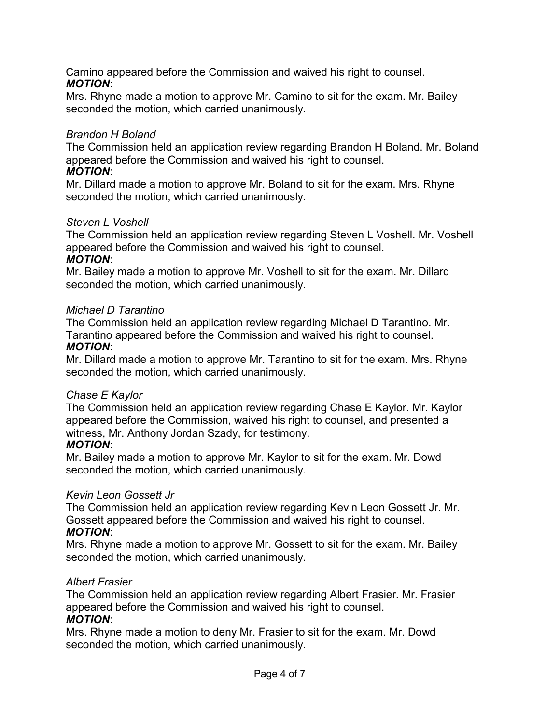Camino appeared before the Commission and waived his right to counsel. *MOTION*:

Mrs. Rhyne made a motion to approve Mr. Camino to sit for the exam. Mr. Bailey seconded the motion, which carried unanimously.

### *Brandon H Boland*

The Commission held an application review regarding Brandon H Boland. Mr. Boland appeared before the Commission and waived his right to counsel.

### *MOTION*:

Mr. Dillard made a motion to approve Mr. Boland to sit for the exam. Mrs. Rhyne seconded the motion, which carried unanimously.

### *Steven L Voshell*

The Commission held an application review regarding Steven L Voshell. Mr. Voshell appeared before the Commission and waived his right to counsel. *MOTION*:

Mr. Bailey made a motion to approve Mr. Voshell to sit for the exam. Mr. Dillard seconded the motion, which carried unanimously.

### *Michael D Tarantino*

The Commission held an application review regarding Michael D Tarantino. Mr. Tarantino appeared before the Commission and waived his right to counsel. *MOTION*:

Mr. Dillard made a motion to approve Mr. Tarantino to sit for the exam. Mrs. Rhyne seconded the motion, which carried unanimously.

### *Chase E Kaylor*

The Commission held an application review regarding Chase E Kaylor. Mr. Kaylor appeared before the Commission, waived his right to counsel, and presented a witness, Mr. Anthony Jordan Szady, for testimony.

### *MOTION*:

Mr. Bailey made a motion to approve Mr. Kaylor to sit for the exam. Mr. Dowd seconded the motion, which carried unanimously.

### *Kevin Leon Gossett Jr*

The Commission held an application review regarding Kevin Leon Gossett Jr. Mr. Gossett appeared before the Commission and waived his right to counsel. *MOTION*:

Mrs. Rhyne made a motion to approve Mr. Gossett to sit for the exam. Mr. Bailey seconded the motion, which carried unanimously.

### *Albert Frasier*

The Commission held an application review regarding Albert Frasier. Mr. Frasier appeared before the Commission and waived his right to counsel. *MOTION*:

Mrs. Rhyne made a motion to deny Mr. Frasier to sit for the exam. Mr. Dowd seconded the motion, which carried unanimously.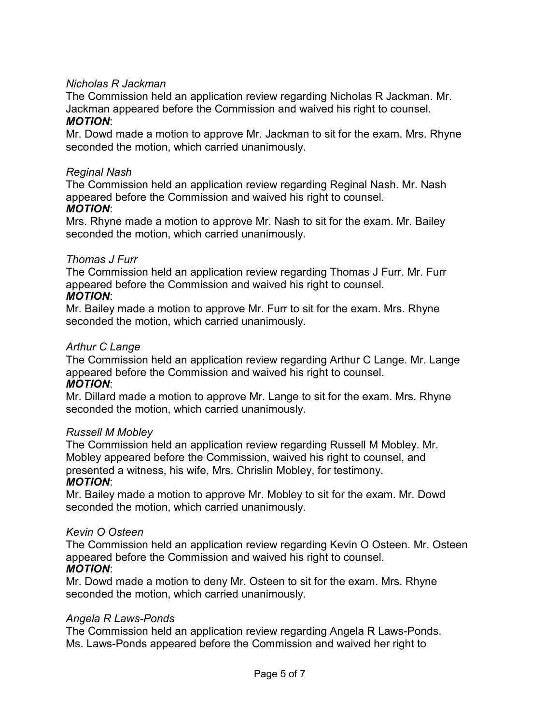### *Nicholas R Jackman*

The Commission held an application review regarding Nicholas R Jackman. Mr. Jackman appeared before the Commission and waived his right to counsel.

### *MOTION*:

Mr. Dowd made a motion to approve Mr. Jackman to sit for the exam. Mrs. Rhyne seconded the motion, which carried unanimously.

### *Reginal Nash*

The Commission held an application review regarding Reginal Nash. Mr. Nash appeared before the Commission and waived his right to counsel.

#### *MOTION*:

Mrs. Rhyne made a motion to approve Mr. Nash to sit for the exam. Mr. Bailey seconded the motion, which carried unanimously.

### *Thomas J Furr*

The Commission held an application review regarding Thomas J Furr. Mr. Furr appeared before the Commission and waived his right to counsel. *MOTION*:

Mr. Bailey made a motion to approve Mr. Furr to sit for the exam. Mrs. Rhyne seconded the motion, which carried unanimously.

#### *Arthur C Lange*

The Commission held an application review regarding Arthur C Lange. Mr. Lange appeared before the Commission and waived his right to counsel. *MOTION*:

Mr. Dillard made a motion to approve Mr. Lange to sit for the exam. Mrs. Rhyne seconded the motion, which carried unanimously.

### *Russell M Mobley*

The Commission held an application review regarding Russell M Mobley. Mr. Mobley appeared before the Commission, waived his right to counsel, and presented a witness, his wife, Mrs. Chrislin Mobley, for testimony. *MOTION*:

Mr. Bailey made a motion to approve Mr. Mobley to sit for the exam. Mr. Dowd seconded the motion, which carried unanimously.

### *Kevin O Osteen*

The Commission held an application review regarding Kevin O Osteen. Mr. Osteen appeared before the Commission and waived his right to counsel.

### *MOTION*:

Mr. Dowd made a motion to deny Mr. Osteen to sit for the exam. Mrs. Rhyne seconded the motion, which carried unanimously.

#### *Angela R Laws-Ponds*

The Commission held an application review regarding Angela R Laws-Ponds. Ms. Laws-Ponds appeared before the Commission and waived her right to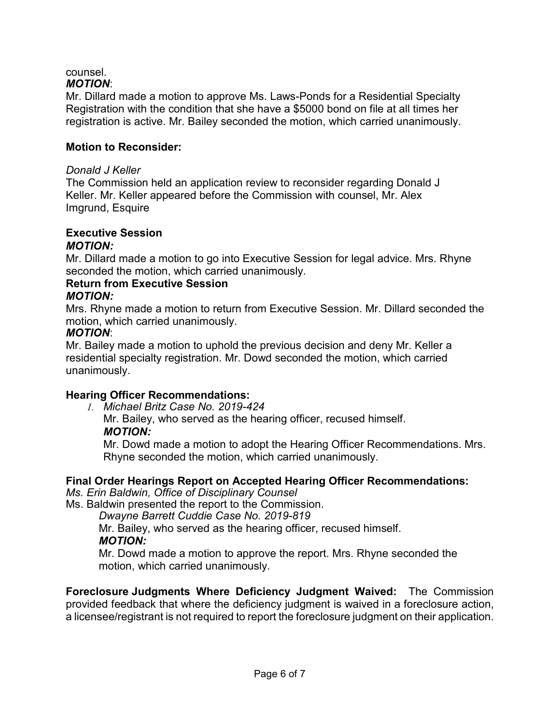#### counsel. *MOTION*:

Mr. Dillard made a motion to approve Ms. Laws-Ponds for a Residential Specialty Registration with the condition that she have a \$5000 bond on file at all times her registration is active. Mr. Bailey seconded the motion, which carried unanimously.

### **Motion to Reconsider:**

#### *Donald J Keller*

The Commission held an application review to reconsider regarding Donald J Keller. Mr. Keller appeared before the Commission with counsel, Mr. Alex Imgrund, Esquire

#### **Executive Session** *MOTION:*

Mr. Dillard made a motion to go into Executive Session for legal advice. Mrs. Rhyne seconded the motion, which carried unanimously.

### **Return from Executive Session**

### *MOTION:*

Mrs. Rhyne made a motion to return from Executive Session. Mr. Dillard seconded the motion, which carried unanimously.

### *MOTION*:

Mr. Bailey made a motion to uphold the previous decision and deny Mr. Keller a residential specialty registration. Mr. Dowd seconded the motion, which carried unanimously.

### **Hearing Officer Recommendations:**

*1. Michael Britz Case No. 2019-424*

Mr. Bailey, who served as the hearing officer, recused himself. *MOTION:*

Mr. Dowd made a motion to adopt the Hearing Officer Recommendations. Mrs. Rhyne seconded the motion, which carried unanimously.

## **Final Order Hearings Report on Accepted Hearing Officer Recommendations:**

*Ms. Erin Baldwin, Office of Disciplinary Counsel*

Ms. Baldwin presented the report to the Commission.

*Dwayne Barrett Cuddie Case No. 2019-819*

Mr. Bailey, who served as the hearing officer, recused himself. *MOTION:*

Mr. Dowd made a motion to approve the report. Mrs. Rhyne seconded the motion, which carried unanimously.

**Foreclosure Judgments Where Deficiency Judgment Waived:** The Commission provided feedback that where the deficiency judgment is waived in a foreclosure action, a licensee/registrant is not required to report the foreclosure judgment on their application.